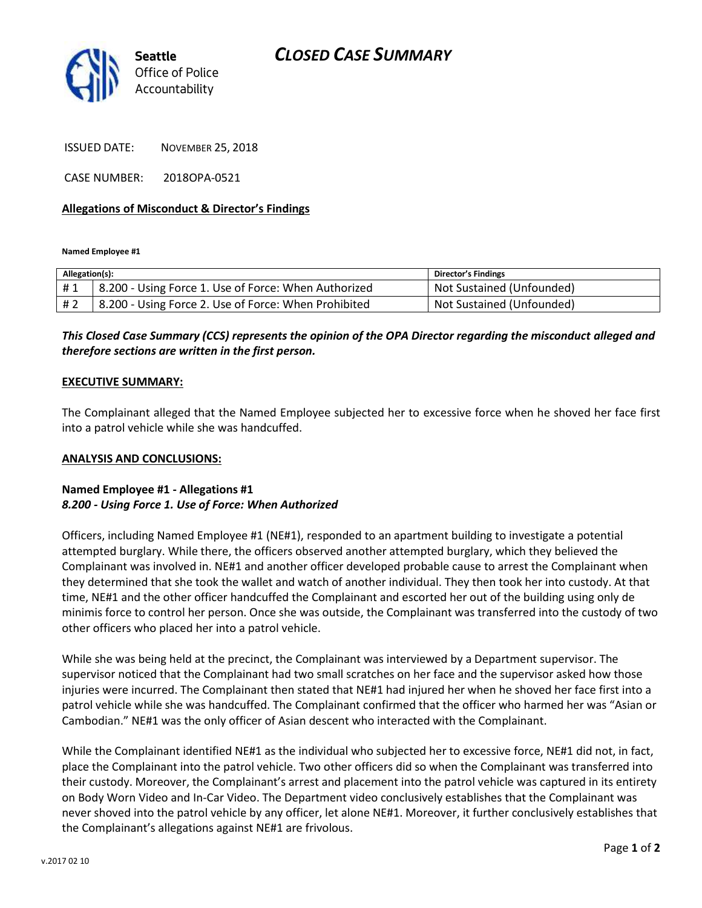# *CLOSED CASE SUMMARY*



ISSUED DATE: NOVEMBER 25, 2018

CASE NUMBER: 2018OPA-0521

### **Allegations of Misconduct & Director's Findings**

**Named Employee #1**

| Allegation(s): |                                                      | Director's Findings       |
|----------------|------------------------------------------------------|---------------------------|
| #1             | 8.200 - Using Force 1. Use of Force: When Authorized | Not Sustained (Unfounded) |
| # 2            | 8.200 - Using Force 2. Use of Force: When Prohibited | Not Sustained (Unfounded) |

## *This Closed Case Summary (CCS) represents the opinion of the OPA Director regarding the misconduct alleged and therefore sections are written in the first person.*

#### **EXECUTIVE SUMMARY:**

The Complainant alleged that the Named Employee subjected her to excessive force when he shoved her face first into a patrol vehicle while she was handcuffed.

#### **ANALYSIS AND CONCLUSIONS:**

### **Named Employee #1 - Allegations #1** *8.200 - Using Force 1. Use of Force: When Authorized*

Officers, including Named Employee #1 (NE#1), responded to an apartment building to investigate a potential attempted burglary. While there, the officers observed another attempted burglary, which they believed the Complainant was involved in. NE#1 and another officer developed probable cause to arrest the Complainant when they determined that she took the wallet and watch of another individual. They then took her into custody. At that time, NE#1 and the other officer handcuffed the Complainant and escorted her out of the building using only de minimis force to control her person. Once she was outside, the Complainant was transferred into the custody of two other officers who placed her into a patrol vehicle.

While she was being held at the precinct, the Complainant was interviewed by a Department supervisor. The supervisor noticed that the Complainant had two small scratches on her face and the supervisor asked how those injuries were incurred. The Complainant then stated that NE#1 had injured her when he shoved her face first into a patrol vehicle while she was handcuffed. The Complainant confirmed that the officer who harmed her was "Asian or Cambodian." NE#1 was the only officer of Asian descent who interacted with the Complainant.

While the Complainant identified NE#1 as the individual who subjected her to excessive force, NE#1 did not, in fact, place the Complainant into the patrol vehicle. Two other officers did so when the Complainant was transferred into their custody. Moreover, the Complainant's arrest and placement into the patrol vehicle was captured in its entirety on Body Worn Video and In-Car Video. The Department video conclusively establishes that the Complainant was never shoved into the patrol vehicle by any officer, let alone NE#1. Moreover, it further conclusively establishes that the Complainant's allegations against NE#1 are frivolous.